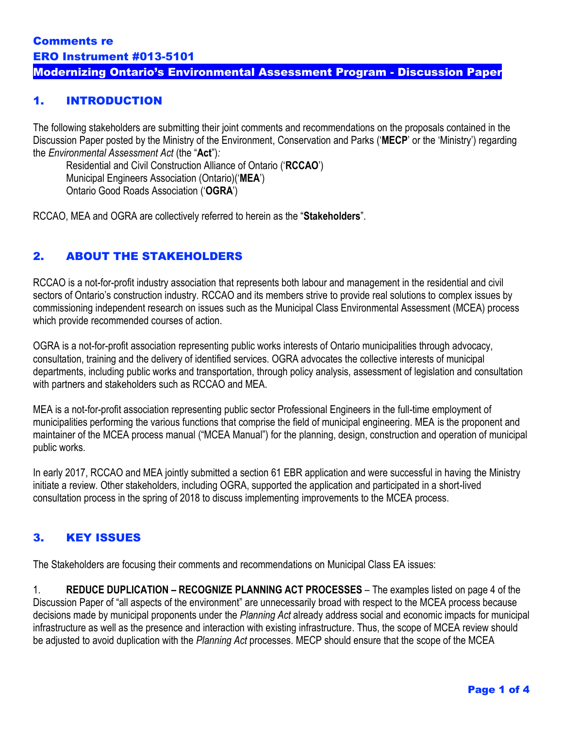### Modernizing Ontario's Environmental Assessment Program - Discussion Paper

### 1. INTRODUCTION

The following stakeholders are submitting their joint comments and recommendations on the proposals contained in the Discussion Paper posted by the Ministry of the Environment, Conservation and Parks ('**MECP**' or the 'Ministry') regarding the *Environmental Assessment Act* (the "**Act**")*:*

Residential and Civil Construction Alliance of Ontario ('**RCCAO**') Municipal Engineers Association (Ontario)('**MEA**') Ontario Good Roads Association ('**OGRA**')

RCCAO, MEA and OGRA are collectively referred to herein as the "**Stakeholders**".

### 2. ABOUT THE STAKEHOLDERS

RCCAO is a not-for-profit industry association that represents both labour and management in the residential and civil sectors of Ontario's construction industry. RCCAO and its members strive to provide real solutions to complex issues by commissioning independent research on issues such as the Municipal Class Environmental Assessment (MCEA) process which provide recommended courses of action.

OGRA is a not-for-profit association representing public works interests of Ontario municipalities through advocacy, consultation, training and the delivery of identified services. OGRA advocates the collective interests of municipal departments, including public works and transportation, through policy analysis, assessment of legislation and consultation with partners and stakeholders such as RCCAO and MEA.

MEA is a not-for-profit association representing public sector Professional Engineers in the full-time employment of municipalities performing the various functions that comprise the field of municipal engineering. MEA is the proponent and maintainer of the MCEA process manual ("MCEA Manual") for the planning, design, construction and operation of municipal public works.

In early 2017, RCCAO and MEA jointly submitted a section 61 EBR application and were successful in having the Ministry initiate a review. Other stakeholders, including OGRA, supported the application and participated in a short-lived consultation process in the spring of 2018 to discuss implementing improvements to the MCEA process.

## 3. KEY ISSUES

The Stakeholders are focusing their comments and recommendations on Municipal Class EA issues:

1. **REDUCE DUPLICATION – RECOGNIZE PLANNING ACT PROCESSES** – The examples listed on page 4 of the Discussion Paper of "all aspects of the environment" are unnecessarily broad with respect to the MCEA process because decisions made by municipal proponents under the *Planning Act* already address social and economic impacts for municipal infrastructure as well as the presence and interaction with existing infrastructure. Thus, the scope of MCEA review should be adjusted to avoid duplication with the *Planning Act* processes. MECP should ensure that the scope of the MCEA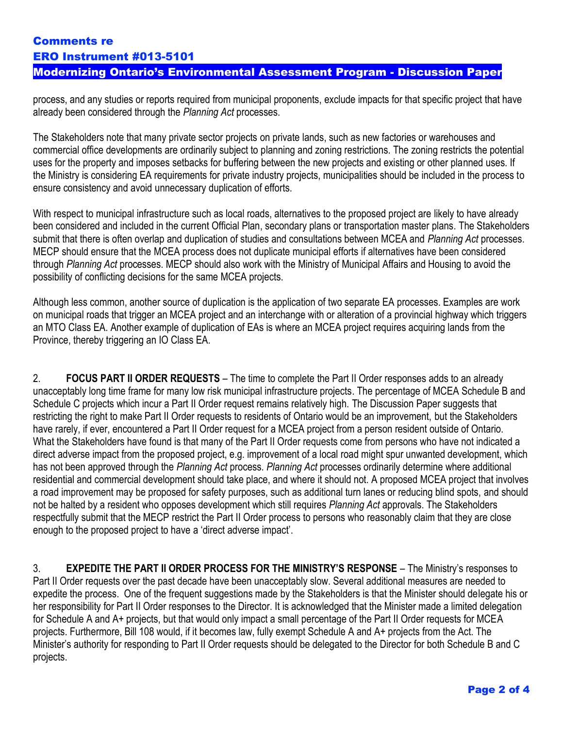# Comments re ERO Instrument #013-5101

# Modernizing Ontario's Environmental Assessment Program - Discussion Paper

process, and any studies or reports required from municipal proponents, exclude impacts for that specific project that have already been considered through the *Planning Act* processes.

The Stakeholders note that many private sector projects on private lands, such as new factories or warehouses and commercial office developments are ordinarily subject to planning and zoning restrictions. The zoning restricts the potential uses for the property and imposes setbacks for buffering between the new projects and existing or other planned uses. If the Ministry is considering EA requirements for private industry projects, municipalities should be included in the process to ensure consistency and avoid unnecessary duplication of efforts.

With respect to municipal infrastructure such as local roads, alternatives to the proposed project are likely to have already been considered and included in the current Official Plan, secondary plans or transportation master plans. The Stakeholders submit that there is often overlap and duplication of studies and consultations between MCEA and *Planning Act* processes. MECP should ensure that the MCEA process does not duplicate municipal efforts if alternatives have been considered through *Planning Act* processes. MECP should also work with the Ministry of Municipal Affairs and Housing to avoid the possibility of conflicting decisions for the same MCEA projects.

Although less common, another source of duplication is the application of two separate EA processes. Examples are work on municipal roads that trigger an MCEA project and an interchange with or alteration of a provincial highway which triggers an MTO Class EA. Another example of duplication of EAs is where an MCEA project requires acquiring lands from the Province, thereby triggering an IO Class EA.

2. **FOCUS PART II ORDER REQUESTS** – The time to complete the Part II Order responses adds to an already unacceptably long time frame for many low risk municipal infrastructure projects. The percentage of MCEA Schedule B and Schedule C projects which incur a Part II Order request remains relatively high. The Discussion Paper suggests that restricting the right to make Part II Order requests to residents of Ontario would be an improvement, but the Stakeholders have rarely, if ever, encountered a Part II Order request for a MCEA project from a person resident outside of Ontario. What the Stakeholders have found is that many of the Part II Order requests come from persons who have not indicated a direct adverse impact from the proposed project, e.g. improvement of a local road might spur unwanted development, which has not been approved through the *Planning Act* process. *Planning Act* processes ordinarily determine where additional residential and commercial development should take place, and where it should not. A proposed MCEA project that involves a road improvement may be proposed for safety purposes, such as additional turn lanes or reducing blind spots, and should not be halted by a resident who opposes development which still requires *Planning Act* approvals. The Stakeholders respectfully submit that the MECP restrict the Part II Order process to persons who reasonably claim that they are close enough to the proposed project to have a 'direct adverse impact'.

3. **EXPEDITE THE PART II ORDER PROCESS FOR THE MINISTRY'S RESPONSE** – The Ministry's responses to Part II Order requests over the past decade have been unacceptably slow. Several additional measures are needed to expedite the process. One of the frequent suggestions made by the Stakeholders is that the Minister should delegate his or her responsibility for Part II Order responses to the Director. It is acknowledged that the Minister made a limited delegation for Schedule A and A+ projects, but that would only impact a small percentage of the Part II Order requests for MCEA projects. Furthermore, Bill 108 would, if it becomes law, fully exempt Schedule A and A+ projects from the Act. The Minister's authority for responding to Part II Order requests should be delegated to the Director for both Schedule B and C projects.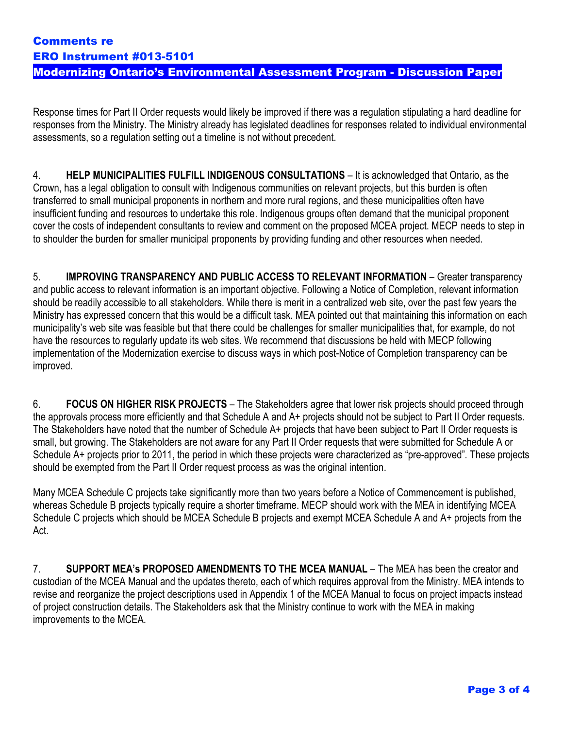# Comments re ERO Instrument #013-5101

### Modernizing Ontario's Environmental Assessment Program - Discussion Paper

Response times for Part II Order requests would likely be improved if there was a regulation stipulating a hard deadline for responses from the Ministry. The Ministry already has legislated deadlines for responses related to individual environmental assessments, so a regulation setting out a timeline is not without precedent.

4. **HELP MUNICIPALITIES FULFILL INDIGENOUS CONSULTATIONS** – It is acknowledged that Ontario, as the Crown, has a legal obligation to consult with Indigenous communities on relevant projects, but this burden is often transferred to small municipal proponents in northern and more rural regions, and these municipalities often have insufficient funding and resources to undertake this role. Indigenous groups often demand that the municipal proponent cover the costs of independent consultants to review and comment on the proposed MCEA project. MECP needs to step in to shoulder the burden for smaller municipal proponents by providing funding and other resources when needed.

5. **IMPROVING TRANSPARENCY AND PUBLIC ACCESS TO RELEVANT INFORMATION** – Greater transparency and public access to relevant information is an important objective. Following a Notice of Completion, relevant information should be readily accessible to all stakeholders. While there is merit in a centralized web site, over the past few years the Ministry has expressed concern that this would be a difficult task. MEA pointed out that maintaining this information on each municipality's web site was feasible but that there could be challenges for smaller municipalities that, for example, do not have the resources to regularly update its web sites. We recommend that discussions be held with MECP following implementation of the Modernization exercise to discuss ways in which post-Notice of Completion transparency can be improved.

6. **FOCUS ON HIGHER RISK PROJECTS** – The Stakeholders agree that lower risk projects should proceed through the approvals process more efficiently and that Schedule A and A+ projects should not be subject to Part II Order requests. The Stakeholders have noted that the number of Schedule A+ projects that have been subject to Part II Order requests is small, but growing. The Stakeholders are not aware for any Part II Order requests that were submitted for Schedule A or Schedule A+ projects prior to 2011, the period in which these projects were characterized as "pre-approved". These projects should be exempted from the Part II Order request process as was the original intention.

Many MCEA Schedule C projects take significantly more than two years before a Notice of Commencement is published, whereas Schedule B projects typically require a shorter timeframe. MECP should work with the MEA in identifying MCEA Schedule C projects which should be MCEA Schedule B projects and exempt MCEA Schedule A and A+ projects from the Act.

7. **SUPPORT MEA's PROPOSED AMENDMENTS TO THE MCEA MANUAL** – The MEA has been the creator and custodian of the MCEA Manual and the updates thereto, each of which requires approval from the Ministry. MEA intends to revise and reorganize the project descriptions used in Appendix 1 of the MCEA Manual to focus on project impacts instead of project construction details. The Stakeholders ask that the Ministry continue to work with the MEA in making improvements to the MCEA.